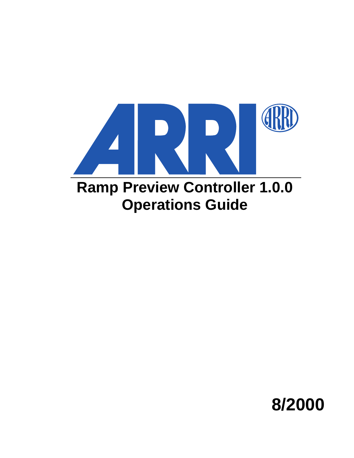

# **Ramp Preview Controller 1.0.0 Operations Guide**

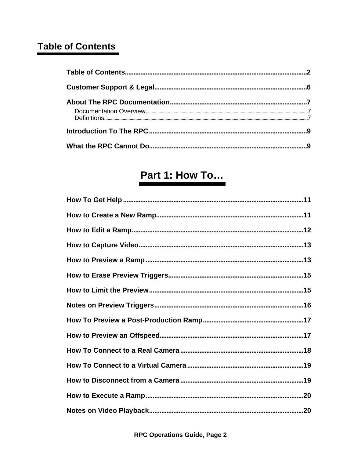# **Table of Contents**

|  | .6 |
|--|----|
|  |    |
|  |    |
|  |    |
|  |    |

# Part 1: How To...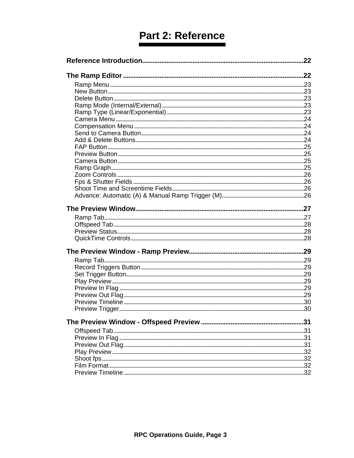# Part 2: Reference

| .22 |
|-----|
|     |
|     |
|     |
|     |
|     |
|     |
|     |
|     |
|     |
|     |
|     |
|     |
|     |
|     |
|     |
|     |
|     |
|     |
|     |
|     |
|     |
|     |
|     |
|     |
|     |
|     |
|     |
|     |
|     |
|     |
|     |
|     |
| .31 |
|     |
|     |
|     |
|     |
|     |
|     |
|     |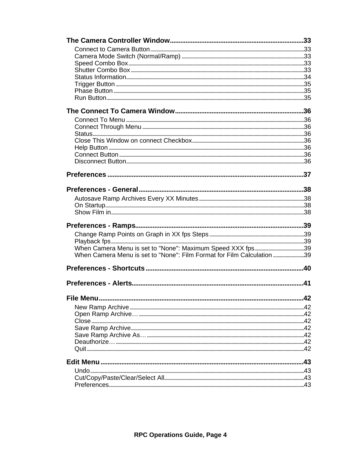| When Camera Menu is set to "None": Film Format for Film Calculation 39 |     |
|------------------------------------------------------------------------|-----|
|                                                                        |     |
|                                                                        | 41  |
|                                                                        |     |
|                                                                        | .42 |
|                                                                        |     |
|                                                                        |     |
|                                                                        |     |
|                                                                        | 42  |
|                                                                        |     |
|                                                                        |     |
|                                                                        |     |
|                                                                        | .43 |
|                                                                        |     |
|                                                                        |     |
|                                                                        |     |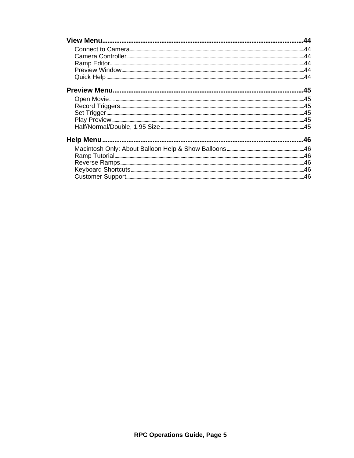| A5 هات المستقدمات المستقدمات المستقدمات المستقدمات المستقدمات المستقدمات المستقدمات المستقدمات المستقدمات المس<br>45 هـ المستقدمات المستقدمات المستقدمات المستقدمات المستقدمات المستقدمات المستقدمات المستقدمات المستقدمات المستق |  |
|-----------------------------------------------------------------------------------------------------------------------------------------------------------------------------------------------------------------------------------|--|
|                                                                                                                                                                                                                                   |  |
|                                                                                                                                                                                                                                   |  |
|                                                                                                                                                                                                                                   |  |
|                                                                                                                                                                                                                                   |  |
|                                                                                                                                                                                                                                   |  |
|                                                                                                                                                                                                                                   |  |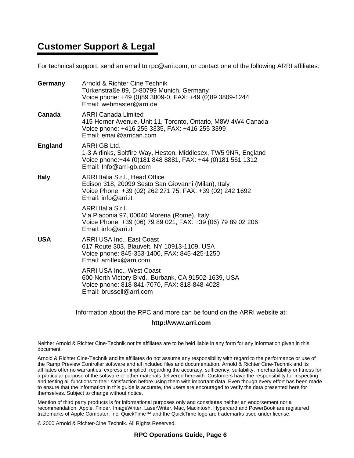# **Customer Support & Legal**

For technical support, send an email to rpc@arri.com, or contact one of the following ARRI affiliates:

| Germany        | Arnold & Richter Cine Technik<br>Türkenstraße 89, D-80799 Munich, Germany<br>Voice phone: +49 (0)89 3809-0, FAX: +49 (0)89 3809-1244<br>Email: webmaster@arri.de            |
|----------------|-----------------------------------------------------------------------------------------------------------------------------------------------------------------------------|
| Canada         | <b>ARRI Canada Limited</b><br>415 Horner Avenue, Unit 11, Toronto, Ontario, M8W 4W4 Canada<br>Voice phone: +416 255 3335, FAX: +416 255 3399<br>Email: email@arrican.com    |
| <b>England</b> | ARRI GB Ltd.<br>1-3 Airlinks, Spitfire Way, Heston, Middlesex, TW5 9NR, England<br>Voice phone: +44 (0) 181 848 8881, FAX: +44 (0) 181 561 1312<br>Email: Info@arri-gb.com  |
| <b>Italy</b>   | ARRI Italia S.r.l., Head Office<br>Edison 318, 20099 Sesto San Giovanni (Milan), Italy<br>Voice Phone: +39 (02) 262 271 75, FAX: +39 (02) 242 1692<br>Email: $info@arri.it$ |
|                | ARRI Italia S.r.I.<br>Via Placonia 97, 00040 Morena (Rome), Italy<br>Voice Phone: +39 (06) 79 89 021, FAX: +39 (06) 79 89 02 206<br>Email: $info@arri.it$                   |
| <b>USA</b>     | <b>ARRI USA Inc., East Coast</b><br>617 Route 303, Blauvelt, NY 10913-1109, USA<br>Voice phone: 845-353-1400, FAX: 845-425-1250<br>Email: $arriflex@arri.com$               |
|                | <b>ARRI USA Inc., West Coast</b><br>600 North Victory Blvd., Burbank, CA 91502-1639, USA<br>Voice phone: 818-841-7070, FAX: 818-848-4028<br>Email: brussell@arri.com        |
|                |                                                                                                                                                                             |

Information about the RPC and more can be found on the ARRI website at:

#### **http://www.arri.com**

Neither Arnold & Richter Cine-Technik nor its affiliates are to be held liable in any form for any information given in this document.

Arnold & Richter Cine-Technik and its affiliates do not assume any responsibility with regard to the performance or use of the Ramp Preview Controller software and all included files and documentation. Arnold & Richter Cine-Technik and its affiliates offer no warranties, express or implied, regarding the accuracy, sufficiency, suitability, merchantability or fitness for a particular purpose of the software or other materials delivered herewith. Customers have the responsibility for inspecting and testing all functions to their satisfaction before using them with important data. Even though every effort has been made to ensure that the information in this guide is accurate, the users are encouraged to verify the data presented here for themselves. Subject to change without notice.

Mention of third party products is for informational purposes only and constitutes neither an endorsement nor a recommendation. Apple, Finder, ImageWriter, LaserWriter, Mac, Macintosh, Hypercard and PowerBook are registered trademarks of Apple Computer, Inc. QuickTime™ and the QuickTime logo are trademarks used under license.

© 2000 Arnold & Richter-Cine Technik. All Rights Reserved.

### **RPC Operations Guide, Page 6**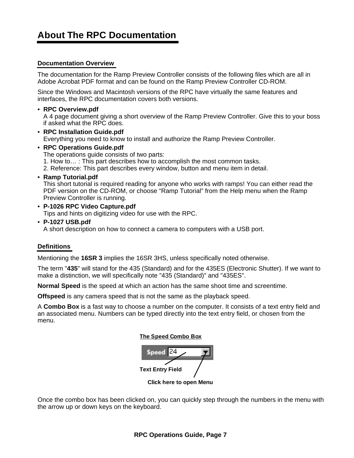# **About The RPC Documentation**

# **Documentation Overview**

The documentation for the Ramp Preview Controller consists of the following files which are all in Adobe Acrobat PDF format and can be found on the Ramp Preview Controller CD-ROM.

Since the Windows and Macintosh versions of the RPC have virtually the same features and interfaces, the RPC documentation covers both versions.

• **RPC Overview.pdf**

A 4 page document giving a short overview of the Ramp Preview Controller. Give this to your boss if asked what the RPC does.

- **RPC Installation Guide.pdf** Everything you need to know to install and authorize the Ramp Preview Controller.
- **RPC Operations Guide.pdf** The operations guide consists of two parts: 1. How to… : This part describes how to accomplish the most common tasks.

2. Reference: This part describes every window, button and menu item in detail.

• **Ramp Tutorial.pdf**

This short tutorial is required reading for anyone who works with ramps! You can either read the PDF version on the CD-ROM, or choose "Ramp Tutorial" from the Help menu when the Ramp Preview Controller is running.

• **P-1026 RPC Video Capture.pdf** Tips and hints on digitizing video for use with the RPC.

• **P-1027 USB.pdf**

A short description on how to connect a camera to computers with a USB port.

# **Definitions**

Mentioning the **16SR 3** implies the 16SR 3HS, unless specifically noted otherwise.

The term "**435**" will stand for the 435 (Standard) and for the 435ES (Electronic Shutter). If we want to make a distinction, we will specifically note "435 (Standard)" and "435ES".

**Normal Speed** is the speed at which an action has the same shoot time and screentime.

**Offspeed** is any camera speed that is not the same as the playback speed.

A **Combo Box** is a fast way to choose a number on the computer. It consists of a text entry field and an associated menu. Numbers can be typed directly into the text entry field, or chosen from the menu.





Once the combo box has been clicked on, you can quickly step through the numbers in the menu with the arrow up or down keys on the keyboard.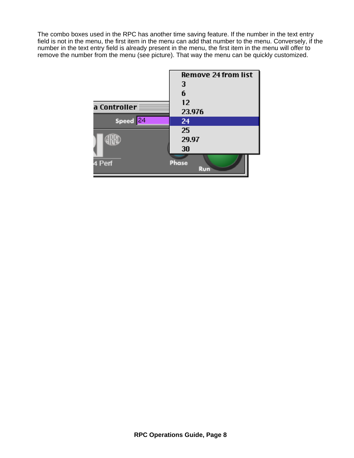The combo boxes used in the RPC has another time saving feature. If the number in the text entry field is not in the menu, the first item in the menu can add that number to the menu. Conversely, if the number in the text entry field is already present in the menu, the first item in the menu will offer to remove the number from the menu (see picture). That way the menu can be quickly customized.

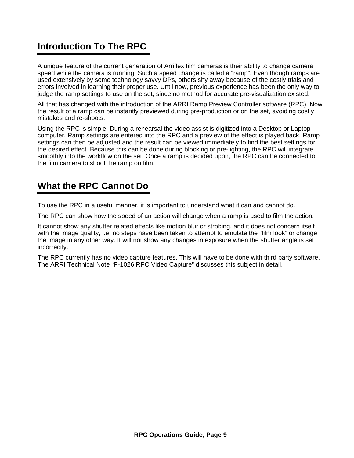# **Introduction To The RPC**

A unique feature of the current generation of Arriflex film cameras is their ability to change camera speed while the camera is running. Such a speed change is called a "ramp". Even though ramps are used extensively by some technology savvy DPs, others shy away because of the costly trials and errors involved in learning their proper use. Until now, previous experience has been the only way to judge the ramp settings to use on the set, since no method for accurate pre-visualization existed.

All that has changed with the introduction of the ARRI Ramp Preview Controller software (RPC). Now the result of a ramp can be instantly previewed during pre-production or on the set, avoiding costly mistakes and re-shoots.

Using the RPC is simple. During a rehearsal the video assist is digitized into a Desktop or Laptop computer. Ramp settings are entered into the RPC and a preview of the effect is played back. Ramp settings can then be adjusted and the result can be viewed immediately to find the best settings for the desired effect. Because this can be done during blocking or pre-lighting, the RPC will integrate smoothly into the workflow on the set. Once a ramp is decided upon, the RPC can be connected to the film camera to shoot the ramp on film.

# **What the RPC Cannot Do**

To use the RPC in a useful manner, it is important to understand what it can and cannot do.

The RPC can show how the speed of an action will change when a ramp is used to film the action.

It cannot show any shutter related effects like motion blur or strobing, and it does not concern itself with the image quality, i.e. no steps have been taken to attempt to emulate the "film look" or change the image in any other way. It will not show any changes in exposure when the shutter angle is set incorrectly.

The RPC currently has no video capture features. This will have to be done with third party software. The ARRI Technical Note "P-1026 RPC Video Capture" discusses this subject in detail.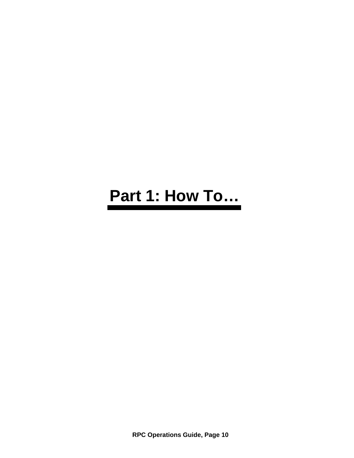# **Part 1: How To…**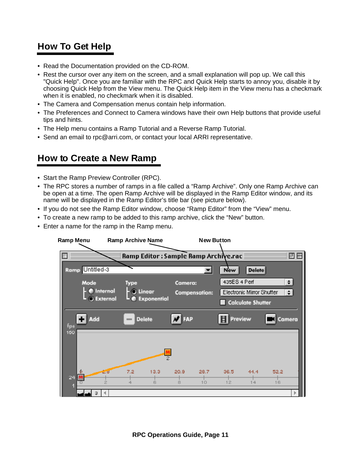# **How To Get Help**

- Read the Documentation provided on the CD-ROM.
- Rest the cursor over any item on the screen, and a small explanation will pop up. We call this "Quick Help". Once you are familiar with the RPC and Quick Help starts to annoy you, disable it by choosing Quick Help from the View menu. The Quick Help item in the View menu has a checkmark when it is enabled, no checkmark when it is disabled.
- The Camera and Compensation menus contain help information.
- The Preferences and Connect to Camera windows have their own Help buttons that provide useful tips and hints.
- The Help menu contains a Ramp Tutorial and a Reverse Ramp Tutorial.
- Send an email to rpc@arri.com, or contact your local ARRI representative.

# **How to Create a New Ramp**

- Start the Ramp Preview Controller (RPC).
- The RPC stores a number of ramps in a file called a "Ramp Archive". Only one Ramp Archive can be open at a time. The open Ramp Archive will be displayed in the Ramp Editor window, and its name will be displayed in the Ramp Editor's title bar (see picture below).
- If you do not see the Ramp Editor window, choose "Ramp Editor" from the "View" menu.
- To create a new ramp to be added to this ramp archive, click the "New" button.
- Enter a name for the ramp in the Ramp menu.

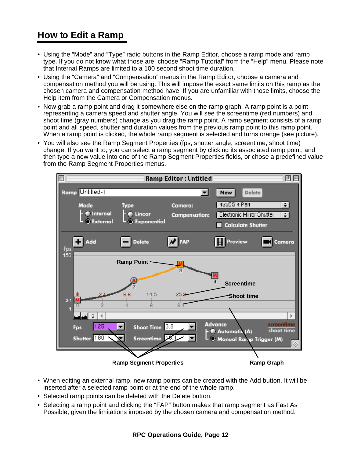# **How to Edit a Ramp**

- Using the "Mode" and "Type" radio buttons in the Ramp Editor, choose a ramp mode and ramp type. If you do not know what those are, choose "Ramp Tutorial" from the "Help" menu. Please note that Internal Ramps are limited to a 100 second shoot time duration.
- Using the "Camera" and "Compensation" menus in the Ramp Editor, choose a camera and compensation method you will be using. This will impose the exact same limits on this ramp as the chosen camera and compensation method have. If you are unfamiliar with those limits, choose the Help item from the Camera or Compensation menus.
- Now grab a ramp point and drag it somewhere else on the ramp graph. A ramp point is a point representing a camera speed and shutter angle. You will see the screentime (red numbers) and shoot time (gray numbers) change as you drag the ramp point. A ramp segment consists of a ramp point and all speed, shutter and duration values from the previous ramp point to this ramp point. When a ramp point is clicked, the whole ramp segment is selected and turns orange (see picture).
- You will also see the Ramp Segment Properties (fps, shutter angle, screentime, shoot time) change. If you want to, you can select a ramp segment by clicking its associated ramp point, and then type a new value into one of the Ramp Segment Properties fields, or chose a predefined value from the Ramp Segment Properties menus.



- When editing an external ramp, new ramp points can be created with the Add button. It will be inserted after a selected ramp point or at the end of the whole ramp.
- Selected ramp points can be deleted with the Delete button.
- Selecting a ramp point and clicking the "FAP" button makes that ramp segment as Fast As Possible, given the limitations imposed by the chosen camera and compensation method.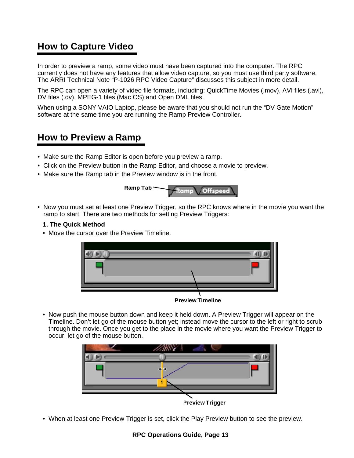# **How to Capture Video**

In order to preview a ramp, some video must have been captured into the computer. The RPC currently does not have any features that allow video capture, so you must use third party software. The ARRI Technical Note "P-1026 RPC Video Capture" discusses this subject in more detail.

The RPC can open a variety of video file formats, including: QuickTime Movies (.mov), AVI files (.avi), DV files (.dv), MPEG-1 files (Mac OS) and Open DML files.

When using a SONY VAIO Laptop, please be aware that you should not run the "DV Gate Motion" software at the same time you are running the Ramp Preview Controller.

# **How to Preview a Ramp**

- Make sure the Ramp Editor is open before you preview a ramp.
- Click on the Preview button in the Ramp Editor, and choose a movie to preview.
- Make sure the Ramp tab in the Preview window is in the front.



• Now you must set at least one Preview Trigger, so the RPC knows where in the movie you want the ramp to start. There are two methods for setting Preview Triggers:

### **1. The Quick Method**

• Move the cursor over the Preview Timeline.



**Preview Timeline**

• Now push the mouse button down and keep it held down. A Preview Trigger will appear on the Timeline. Don't let go of the mouse button yet; instead move the cursor to the left or right to scrub through the movie. Once you get to the place in the movie where you want the Preview Trigger to occur, let go of the mouse button.



• When at least one Preview Trigger is set, click the Play Preview button to see the preview.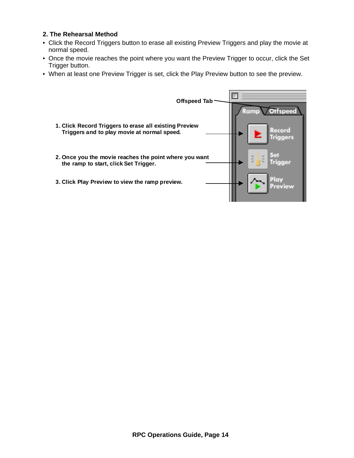### **2. The Rehearsal Method**

- Click the Record Triggers button to erase all existing Preview Triggers and play the movie at normal speed.
- Once the movie reaches the point where you want the Preview Trigger to occur, click the Set Trigger button.
- When at least one Preview Trigger is set, click the Play Preview button to see the preview.

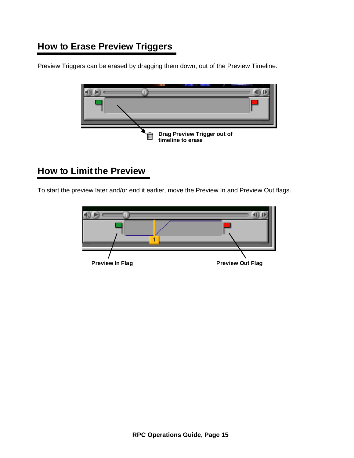# **How to Erase Preview Triggers**

Preview Triggers can be erased by dragging them down, out of the Preview Timeline.



# **How to Limit the Preview**

To start the preview later and/or end it earlier, move the Preview In and Preview Out flags.

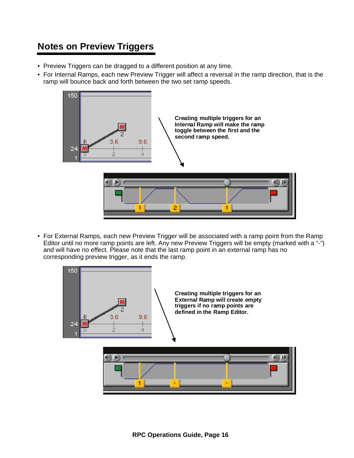# **Notes on Preview Triggers**

- Preview Triggers can be dragged to a different position at any time.
- For Internal Ramps, each new Preview Trigger will affect a reversal in the ramp direction, that is the ramp will bounce back and forth between the two set ramp speeds.



• For External Ramps, each new Preview Trigger will be associated with a ramp point from the Ramp Editor until no more ramp points are left. Any new Preview Triggers will be empty (marked with a "-") and will have no effect. Please note that the last ramp point in an external ramp has no corresponding preview trigger, as it ends the ramp.

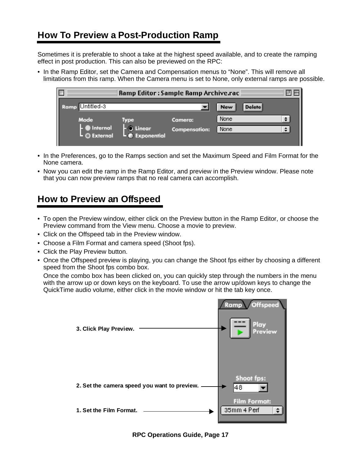# **How To Preview a Post-Production Ramp**

Sometimes it is preferable to shoot a take at the highest speed available, and to create the ramping effect in post production. This can also be previewed on the RPC:

• In the Ramp Editor, set the Camera and Compensation menus to "None". This will remove all limitations from this ramp. When the Camera menu is set to None, only external ramps are possible.

|                        | Ramp Editor : Sample Ramp Archive.rac $\equiv$ |                      |                             |        |
|------------------------|------------------------------------------------|----------------------|-----------------------------|--------|
| $ $ Untitled-3<br>Ramp |                                                |                      | <b>Delete</b><br><b>New</b> |        |
| Mode                   | Type                                           | Camera:              | <b>None</b>                 | $\div$ |
| Internal<br>O External | C Linear<br>Le Exponential                     | <b>Compensation:</b> | None                        | $\div$ |
|                        |                                                |                      |                             |        |

- In the Preferences, go to the Ramps section and set the Maximum Speed and Film Format for the None camera.
- Now you can edit the ramp in the Ramp Editor, and preview in the Preview window. Please note that you can now preview ramps that no real camera can accomplish.

# **How to Preview an Offspeed**

- To open the Preview window, either click on the Preview button in the Ramp Editor, or choose the Preview command from the View menu. Choose a movie to preview.
- Click on the Offspeed tab in the Preview window.
- Choose a Film Format and camera speed (Shoot fps).
- Click the Play Preview button.
- Once the Offspeed preview is playing, you can change the Shoot fps either by choosing a different speed from the Shoot fps combo box.

Once the combo box has been clicked on, you can quickly step through the numbers in the menu with the arrow up or down keys on the keyboard. To use the arrow up/down keys to change the QuickTime audio volume, either click in the movie window or hit the tab key once.

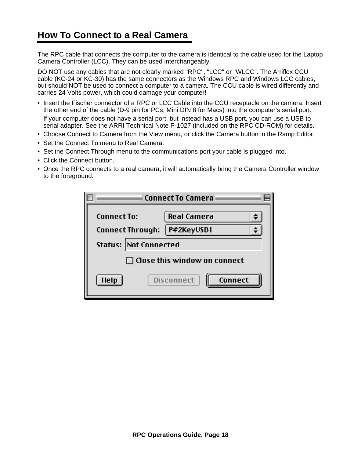# **How To Connect to a Real Camera**

The RPC cable that connects the computer to the camera is identical to the cable used for the Laptop Camera Controller (LCC). They can be used interchangeably.

DO NOT use any cables that are not clearly marked "RPC", "LCC" or "WLCC". The Arriflex CCU cable (KC-24 or KC-30) has the same connectors as the Windows RPC and Windows LCC cables, but should NOT be used to connect a computer to a camera. The CCU cable is wired differently and carries 24 Volts power, which could damage your computer!

- Insert the Fischer connector of a RPC or LCC Cable into the CCU receptacle on the camera. Insert the other end of the cable (D-9 pin for PCs, Mini DIN 8 for Macs) into the computer's serial port. If your computer does not have a serial port, but instead has a USB port, you can use a USB to serial adapter. See the ARRI Technical Note P-1027 (included on the RPC CD-ROM) for details.
- Choose Connect to Camera from the View menu, or click the Camera button in the Ramp Editor.
- Set the Connect To menu to Real Camera.
- Set the Connect Through menu to the communications port your cable is plugged into.
- Click the Connect button.
- Once the RPC connects to a real camera, it will automatically bring the Camera Controller window to the foreground.

| <b>Connect To Camera</b>                      |                                    |  |  |  |
|-----------------------------------------------|------------------------------------|--|--|--|
| <b>Connect To:</b><br><b>Connect Through:</b> | <b>Real Camera</b><br>  P#2KeyUSB1 |  |  |  |
| <b>Status:  Not Connected</b>                 |                                    |  |  |  |
| Close this window on connect                  |                                    |  |  |  |
| Help                                          | Disconnect<br>Connect              |  |  |  |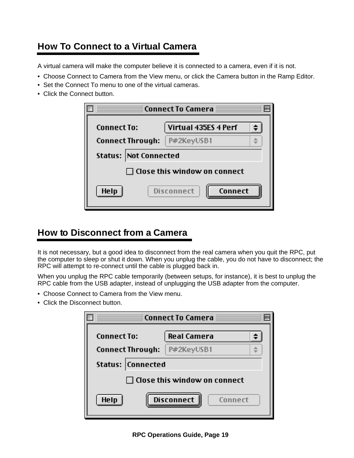# **How To Connect to a Virtual Camera**

A virtual camera will make the computer believe it is connected to a camera, even if it is not.

- Choose Connect to Camera from the View menu, or click the Camera button in the Ramp Editor.
- Set the Connect To menu to one of the virtual cameras.
- Click the Connect button.

|                         | Connect To Camera <b>E</b>          |  |  |  |  |  |
|-------------------------|-------------------------------------|--|--|--|--|--|
| <b>Connect To:</b>      | Virtual 435ES 4 Perf                |  |  |  |  |  |
| <b>Connect Through:</b> | P#2KeyUSB1                          |  |  |  |  |  |
|                         | <b>Status:   Not Connected</b>      |  |  |  |  |  |
|                         | <b>Close this window on connect</b> |  |  |  |  |  |
| Help                    | Disconnect<br>Connect               |  |  |  |  |  |

# **How to Disconnect from a Camera**

It is not necessary, but a good idea to disconnect from the real camera when you quit the RPC, put the computer to sleep or shut it down. When you unplug the cable, you do not have to disconnect; the RPC will attempt to re-connect until the cable is plugged back in.

When you unplug the RPC cable temporarily (between setups, for instance), it is best to unplug the RPC cable from the USB adapter, instead of unplugging the USB adapter from the computer.

- Choose Connect to Camera from the View menu.
- Click the Disconnect button.

| Connect To Camera $\equiv$          |                              |  |  |  |
|-------------------------------------|------------------------------|--|--|--|
| <b>Connect To:</b>                  | <b>Real Camera</b>           |  |  |  |
| <b>Connect Through:</b>             | P#2KeyUSB1                   |  |  |  |
| <b>Status:  Connected</b>           |                              |  |  |  |
| <b>Close this window on connect</b> |                              |  |  |  |
| Help                                | <b>Disconnect</b><br>Connect |  |  |  |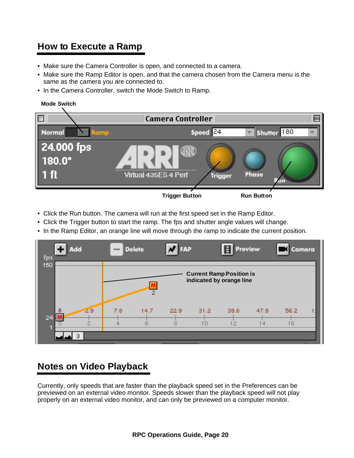# **How to Execute a Ramp**

- Make sure the Camera Controller is open, and connected to a camera.
- Make sure the Ramp Editor is open, and that the camera chosen from the Camera menu is the same as the camera you are connected to.
- In the Camera Controller, switch the Mode Switch to Ramp.



- Click the Run button. The camera will run at the first speed set in the Ramp Editor.
- Click the Trigger button to start the ramp. The fps and shutter angle values will change.
- In the Ramp Editor, an orange line will move through the ramp to indicate the current position.

| $\mathbf{L}$<br>Add<br>fps |         | <b>COLOR</b> | <b>Delete</b> | FAP       |                | 目<br>Preview                                                |            | Camera     |  |
|----------------------------|---------|--------------|---------------|-----------|----------------|-------------------------------------------------------------|------------|------------|--|
| 150                        |         |              | 2             |           |                | <b>Current Ramp Position is</b><br>indicated by orange line |            |            |  |
| Ĥ<br>24                    | 29<br>2 | 7.8<br>4     | 14.7<br>ß     | 22.9<br>8 | 31.2<br>$\Box$ | 39.6<br>12                                                  | 47.9<br>14 | 56.2<br>16 |  |
|                            | З       |              |               |           |                |                                                             |            |            |  |

# **Notes on Video Playback**

Currently, only speeds that are faster than the playback speed set in the Preferences can be previewed on an external video monitor. Speeds slower than the playback speed will not play properly on an external video monitor, and can only be previewed on a computer monitor.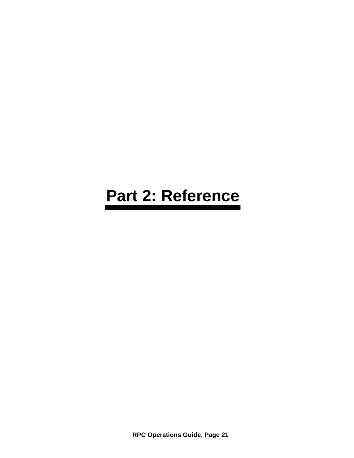# **Part 2: Reference**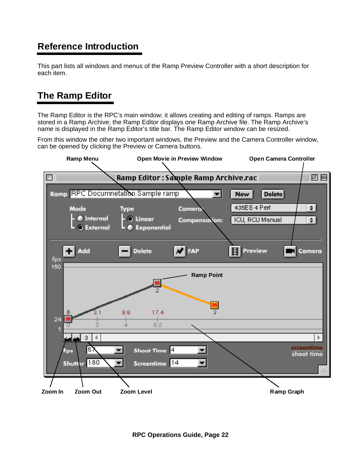# **Reference Introduction**

This part lists all windows and menus of the Ramp Preview Controller with a short description for each item.

# **The Ramp Editor**

The Ramp Editor is the RPC's main window; it allows creating and editing of ramps. Ramps are stored in a Ramp Archive; the Ramp Editor displays one Ramp Archive file. The Ramp Archive's name is displayed in the Ramp Editor's title bar. The Ramp Editor window can be resized.

From this window the other two important windows, the Preview and the Camera Controller window, can be opened by clicking the Preview or Camera buttons.

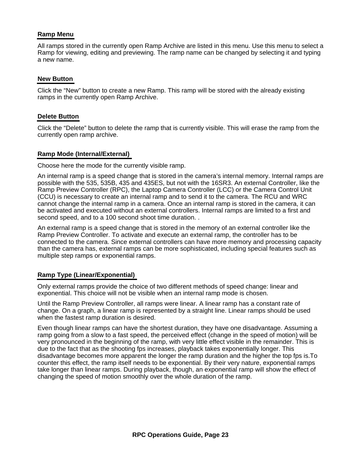### **Ramp Menu**

All ramps stored in the currently open Ramp Archive are listed in this menu. Use this menu to select a Ramp for viewing, editing and previewing. The ramp name can be changed by selecting it and typing a new name.

### **New Button**

Click the "New" button to create a new Ramp. This ramp will be stored with the already existing ramps in the currently open Ramp Archive.

### **Delete Button**

Click the "Delete" button to delete the ramp that is currently visible. This will erase the ramp from the currently open ramp archive.

#### **Ramp Mode (Internal/External)**

Choose here the mode for the currently visible ramp.

An internal ramp is a speed change that is stored in the camera's internal memory. Internal ramps are possible with the 535, 535B, 435 and 435ES, but not with the 16SR3. An external Controller, like the Ramp Preview Controller (RPC), the Laptop Camera Controller (LCC) or the Camera Control Unit (CCU) is necessary to create an internal ramp and to send it to the camera. The RCU and WRC cannot change the internal ramp in a camera. Once an internal ramp is stored in the camera, it can be activated and executed without an external controllers. Internal ramps are limited to a first and second speed, and to a 100 second shoot time duration. .

An external ramp is a speed change that is stored in the memory of an external controller like the Ramp Preview Controller. To activate and execute an external ramp, the controller has to be connected to the camera. Since external controllers can have more memory and processing capacity than the camera has, external ramps can be more sophisticated, including special features such as multiple step ramps or exponential ramps.

### **Ramp Type (Linear/Exponential)**

Only external ramps provide the choice of two different methods of speed change: linear and exponential. This choice will not be visible when an internal ramp mode is chosen.

Until the Ramp Preview Controller, all ramps were linear. A linear ramp has a constant rate of change. On a graph, a linear ramp is represented by a straight line. Linear ramps should be used when the fastest ramp duration is desired.

Even though linear ramps can have the shortest duration, they have one disadvantage. Assuming a ramp going from a slow to a fast speed, the perceived effect (change in the speed of motion) will be very pronounced in the beginning of the ramp, with very little effect visible in the remainder. This is due to the fact that as the shooting fps increases, playback takes exponentially longer. This disadvantage becomes more apparent the longer the ramp duration and the higher the top fps is.To counter this effect, the ramp itself needs to be exponential. By their very nature, exponential ramps take longer than linear ramps. During playback, though, an exponential ramp will show the effect of changing the speed of motion smoothly over the whole duration of the ramp.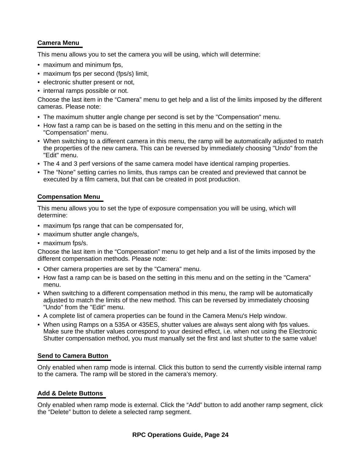# **Camera Menu**

This menu allows you to set the camera you will be using, which will determine:

- maximum and minimum fps,
- maximum fps per second (fps/s) limit,
- electronic shutter present or not,
- internal ramps possible or not.

Choose the last item in the "Camera" menu to get help and a list of the limits imposed by the different cameras. Please note:

- The maximum shutter angle change per second is set by the "Compensation" menu.
- How fast a ramp can be is based on the setting in this menu and on the setting in the "Compensation" menu.
- When switching to a different camera in this menu, the ramp will be automatically adjusted to match the properties of the new camera. This can be reversed by immediately choosing "Undo" from the "Edit" menu.
- The 4 and 3 perf versions of the same camera model have identical ramping properties.
- The "None" setting carries no limits, thus ramps can be created and previewed that cannot be executed by a film camera, but that can be created in post production.

# **Compensation Menu**

This menu allows you to set the type of exposure compensation you will be using, which will determine:

- maximum fps range that can be compensated for,
- maximum shutter angle change/s,
- maximum fps/s.

Choose the last item in the "Compensation" menu to get help and a list of the limits imposed by the different compensation methods. Please note:

- Other camera properties are set by the "Camera" menu.
- How fast a ramp can be is based on the setting in this menu and on the setting in the "Camera" menu.
- When switching to a different compensation method in this menu, the ramp will be automatically adjusted to match the limits of the new method. This can be reversed by immediately choosing "Undo" from the "Edit" menu.
- A complete list of camera properties can be found in the Camera Menu's Help window.
- When using Ramps on a 535A or 435ES, shutter values are always sent along with fps values. Make sure the shutter values correspond to your desired effect, i.e. when not using the Electronic Shutter compensation method, you must manually set the first and last shutter to the same value!

# **Send to Camera Button**

Only enabled when ramp mode is internal. Click this button to send the currently visible internal ramp to the camera. The ramp will be stored in the camera's memory.

# **Add & Delete Buttons**

Only enabled when ramp mode is external. Click the "Add" button to add another ramp segment, click the "Delete" button to delete a selected ramp segment.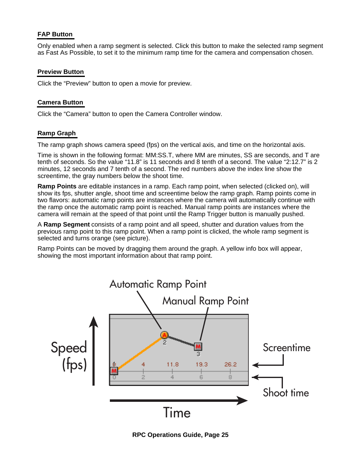# **FAP Button**

Only enabled when a ramp segment is selected. Click this button to make the selected ramp segment as Fast As Possible, to set it to the minimum ramp time for the camera and compensation chosen.

# **Preview Button**

Click the "Preview" button to open a movie for preview.

# **Camera Button**

Click the "Camera" button to open the Camera Controller window.

# **Ramp Graph**

The ramp graph shows camera speed (fps) on the vertical axis, and time on the horizontal axis.

Time is shown in the following format: MM:SS.T, where MM are minutes, SS are seconds, and T are tenth of seconds. So the value "11.8" is 11 seconds and 8 tenth of a second. The value "2:12.7" is 2 minutes, 12 seconds and 7 tenth of a second. The red numbers above the index line show the screentime, the gray numbers below the shoot time.

**Ramp Points** are editable instances in a ramp. Each ramp point, when selected (clicked on), will show its fps, shutter angle, shoot time and screentime below the ramp graph. Ramp points come in two flavors: automatic ramp points are instances where the camera will automatically continue with the ramp once the automatic ramp point is reached. Manual ramp points are instances where the camera will remain at the speed of that point until the Ramp Trigger button is manually pushed.

A **Ramp Segment** consists of a ramp point and all speed, shutter and duration values from the previous ramp point to this ramp point. When a ramp point is clicked, the whole ramp segment is selected and turns orange (see picture).

Ramp Points can be moved by dragging them around the graph. A yellow info box will appear, showing the most important information about that ramp point.

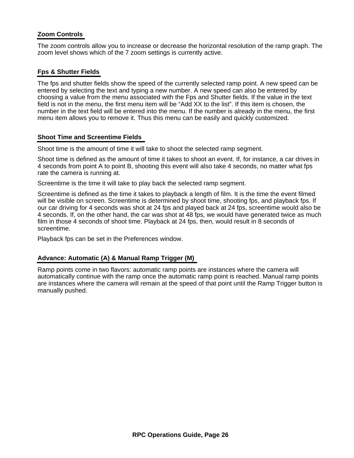# **Zoom Controls**

The zoom controls allow you to increase or decrease the horizontal resolution of the ramp graph. The zoom level shows which of the 7 zoom settings is currently active.

### **Fps & Shutter Fields**

The fps and shutter fields show the speed of the currently selected ramp point. A new speed can be entered by selecting the text and typing a new number. A new speed can also be entered by choosing a value from the menu associated with the Fps and Shutter fields. If the value in the text field is not in the menu, the first menu item will be "Add XX to the list". If this item is chosen, the number in the text field will be entered into the menu. If the number is already in the menu, the first menu item allows you to remove it. Thus this menu can be easily and quickly customized.

### **Shoot Time and Screentime Fields**

Shoot time is the amount of time it will take to shoot the selected ramp segment.

Shoot time is defined as the amount of time it takes to shoot an event. If, for instance, a car drives in 4 seconds from point A to point B, shooting this event will also take 4 seconds, no matter what fps rate the camera is running at.

Screentime is the time it will take to play back the selected ramp segment.

Screentime is defined as the time it takes to playback a length of film. It is the time the event filmed will be visible on screen. Screentime is determined by shoot time, shooting fps, and playback fps. If our car driving for 4 seconds was shot at 24 fps and played back at 24 fps, screentime would also be 4 seconds. If, on the other hand, the car was shot at 48 fps, we would have generated twice as much film in those 4 seconds of shoot time. Playback at 24 fps, then, would result in 8 seconds of screentime.

Playback fps can be set in the Preferences window.

### **Advance: Automatic (A) & Manual Ramp Trigger (M)**

Ramp points come in two flavors: automatic ramp points are instances where the camera will automatically continue with the ramp once the automatic ramp point is reached. Manual ramp points are instances where the camera will remain at the speed of that point until the Ramp Trigger button is manually pushed.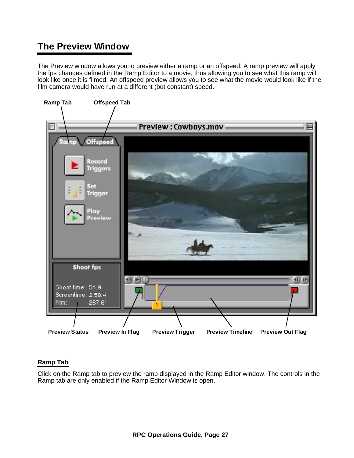# **The Preview Window**

The Preview window allows you to preview either a ramp or an offspeed. A ramp preview will apply the fps changes defined in the Ramp Editor to a movie, thus allowing you to see what this ramp will look like once it is filmed. An offspeed preview allows you to see what the movie would look like if the film camera would have run at a different (but constant) speed.



# **Ramp Tab**

Click on the Ramp tab to preview the ramp displayed in the Ramp Editor window. The controls in the Ramp tab are only enabled if the Ramp Editor Window is open.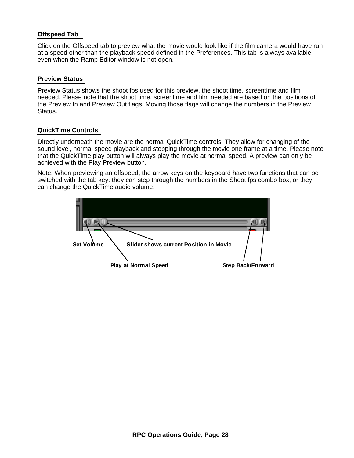# **Offspeed Tab**

Click on the Offspeed tab to preview what the movie would look like if the film camera would have run at a speed other than the playback speed defined in the Preferences. This tab is always available, even when the Ramp Editor window is not open.

### **Preview Status**

Preview Status shows the shoot fps used for this preview, the shoot time, screentime and film needed. Please note that the shoot time, screentime and film needed are based on the positions of the Preview In and Preview Out flags. Moving those flags will change the numbers in the Preview Status.

# **QuickTime Controls**

Directly underneath the movie are the normal QuickTime controls. They allow for changing of the sound level, normal speed playback and stepping through the movie one frame at a time. Please note that the QuickTime play button will always play the movie at normal speed. A preview can only be achieved with the Play Preview button.

Note: When previewing an offspeed, the arrow keys on the keyboard have two functions that can be switched with the tab key: they can step through the numbers in the Shoot fps combo box, or they can change the QuickTime audio volume.

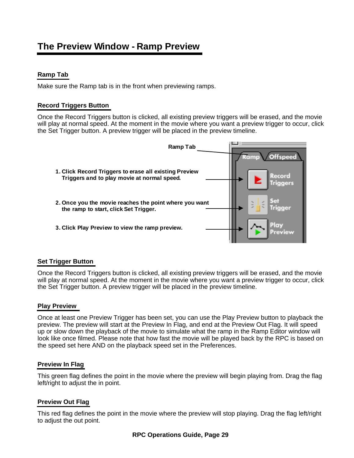# **The Preview Window - Ramp Preview**

# **Ramp Tab**

Make sure the Ramp tab is in the front when previewing ramps.

# **Record Triggers Button**

Once the Record Triggers button is clicked, all existing preview triggers will be erased, and the movie will play at normal speed. At the moment in the movie where you want a preview trigger to occur, click the Set Trigger button. A preview trigger will be placed in the preview timeline.



# **Set Trigger Button**

Once the Record Triggers button is clicked, all existing preview triggers will be erased, and the movie will play at normal speed. At the moment in the movie where you want a preview trigger to occur, click the Set Trigger button. A preview trigger will be placed in the preview timeline.

# **Play Preview**

Once at least one Preview Trigger has been set, you can use the Play Preview button to playback the preview. The preview will start at the Preview In Flag, and end at the Preview Out Flag. It will speed up or slow down the playback of the movie to simulate what the ramp in the Ramp Editor window will look like once filmed. Please note that how fast the movie will be played back by the RPC is based on the speed set here AND on the playback speed set in the Preferences.

# **Preview In Flag**

This green flag defines the point in the movie where the preview will begin playing from. Drag the flag left/right to adjust the in point.

# **Preview Out Flag**

This red flag defines the point in the movie where the preview will stop playing. Drag the flag left/right to adjust the out point.

# **RPC Operations Guide, Page 29**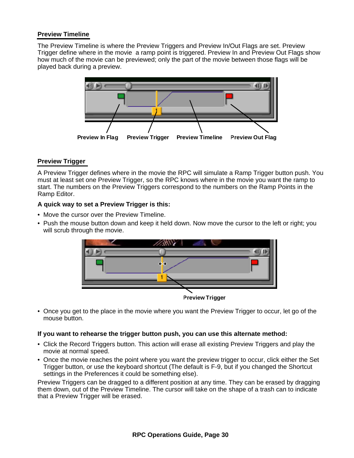### **Preview Timeline**

The Preview Timeline is where the Preview Triggers and Preview In/Out Flags are set. Preview Trigger define where in the movie a ramp point is triggered. Preview In and Preview Out Flags show how much of the movie can be previewed; only the part of the movie between those flags will be played back during a preview.



# **Preview Trigger**

A Preview Trigger defines where in the movie the RPC will simulate a Ramp Trigger button push. You must at least set one Preview Trigger, so the RPC knows where in the movie you want the ramp to start. The numbers on the Preview Triggers correspond to the numbers on the Ramp Points in the Ramp Editor.

# **A quick way to set a Preview Trigger is this:**

- Move the cursor over the Preview Timeline.
- Push the mouse button down and keep it held down. Now move the cursor to the left or right; you will scrub through the movie.



• Once you get to the place in the movie where you want the Preview Trigger to occur, let go of the mouse button.

### **If you want to rehearse the trigger button push, you can use this alternate method:**

- Click the Record Triggers button. This action will erase all existing Preview Triggers and play the movie at normal speed.
- Once the movie reaches the point where you want the preview trigger to occur, click either the Set Trigger button, or use the keyboard shortcut (The default is F-9, but if you changed the Shortcut settings in the Preferences it could be something else).

Preview Triggers can be dragged to a different position at any time. They can be erased by dragging them down, out of the Preview Timeline. The cursor will take on the shape of a trash can to indicate that a Preview Trigger will be erased.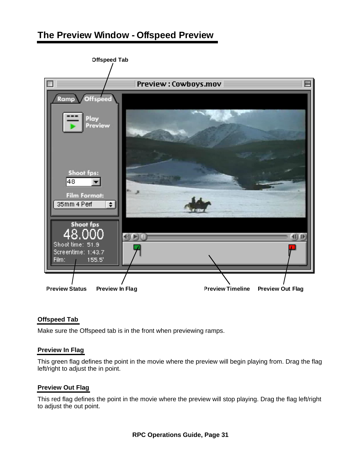# **The Preview Window - Offspeed Preview**



# **Offspeed Tab**

Make sure the Offspeed tab is in the front when previewing ramps.

# **Preview In Flag**

This green flag defines the point in the movie where the preview will begin playing from. Drag the flag left/right to adjust the in point.

# **Preview Out Flag**

This red flag defines the point in the movie where the preview will stop playing. Drag the flag left/right to adjust the out point.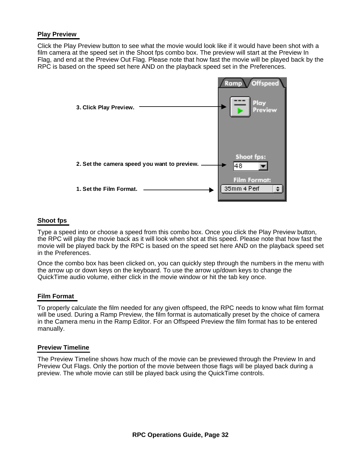### **Play Preview**

Click the Play Preview button to see what the movie would look like if it would have been shot with a film camera at the speed set in the Shoot fps combo box. The preview will start at the Preview In Flag, and end at the Preview Out Flag. Please note that how fast the movie will be played back by the RPC is based on the speed set here AND on the playback speed set in the Preferences.



### **Shoot fps**

Type a speed into or choose a speed from this combo box. Once you click the Play Preview button, the RPC will play the movie back as it will look when shot at this speed. Please note that how fast the movie will be played back by the RPC is based on the speed set here AND on the playback speed set in the Preferences.

Once the combo box has been clicked on, you can quickly step through the numbers in the menu with the arrow up or down keys on the keyboard. To use the arrow up/down keys to change the QuickTime audio volume, either click in the movie window or hit the tab key once.

### **Film Format**

To properly calculate the film needed for any given offspeed, the RPC needs to know what film format will be used. During a Ramp Preview, the film format is automatically preset by the choice of camera in the Camera menu in the Ramp Editor. For an Offspeed Preview the film format has to be entered manually.

### **Preview Timeline**

The Preview Timeline shows how much of the movie can be previewed through the Preview In and Preview Out Flags. Only the portion of the movie between those flags will be played back during a preview. The whole movie can still be played back using the QuickTime controls.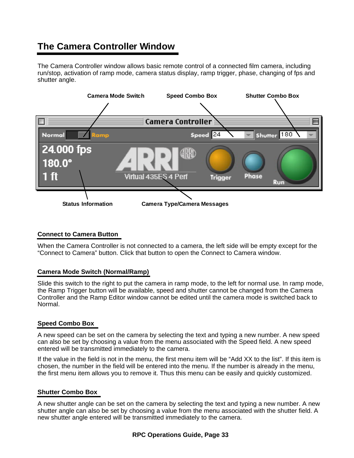# **The Camera Controller Window**

The Camera Controller window allows basic remote control of a connected film camera, including run/stop, activation of ramp mode, camera status display, ramp trigger, phase, changing of fps and shutter angle.



# **Connect to Camera Button**

When the Camera Controller is not connected to a camera, the left side will be empty except for the "Connect to Camera" button. Click that button to open the Connect to Camera window.

# **Camera Mode Switch (Normal/Ramp)**

Slide this switch to the right to put the camera in ramp mode, to the left for normal use. In ramp mode, the Ramp Trigger button will be available, speed and shutter cannot be changed from the Camera Controller and the Ramp Editor window cannot be edited until the camera mode is switched back to Normal.

# **Speed Combo Box**

A new speed can be set on the camera by selecting the text and typing a new number. A new speed can also be set by choosing a value from the menu associated with the Speed field. A new speed entered will be transmitted immediately to the camera.

If the value in the field is not in the menu, the first menu item will be "Add XX to the list". If this item is chosen, the number in the field will be entered into the menu. If the number is already in the menu, the first menu item allows you to remove it. Thus this menu can be easily and quickly customized.

# **Shutter Combo Box**

A new shutter angle can be set on the camera by selecting the text and typing a new number. A new shutter angle can also be set by choosing a value from the menu associated with the shutter field. A new shutter angle entered will be transmitted immediately to the camera.

# **RPC Operations Guide, Page 33**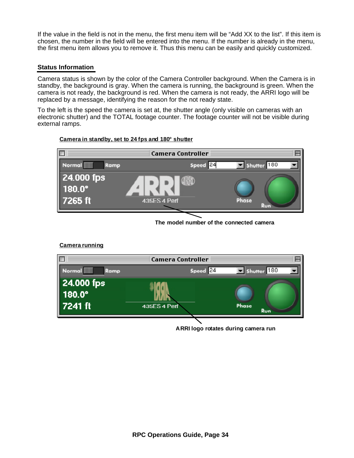If the value in the field is not in the menu, the first menu item will be "Add XX to the list". If this item is chosen, the number in the field will be entered into the menu. If the number is already in the menu, the first menu item allows you to remove it. Thus this menu can be easily and quickly customized.

### **Status Information**

**Camera running**

Camera status is shown by the color of the Camera Controller background. When the Camera is in standby, the background is gray. When the camera is running, the background is green. When the camera is not ready, the background is red. When the camera is not ready, the ARRI logo will be replaced by a message, identifying the reason for the not ready state.

To the left is the speed the camera is set at, the shutter angle (only visible on cameras with an electronic shutter) and the TOTAL footage counter. The footage counter will not be visible during external ramps.

#### **Camera in standby, set to 24 fps and 180° shutter**



**The model number of the connected camera**

#### **Camera Controller** 膠 Normal **WWW** Speed 24  $\blacksquare$  Shutter  $180$ Ramp 24.000 fps 180.0 7241 ft **435ES 4 Perf** Phase Run

**ARRI logo rotates during camera run**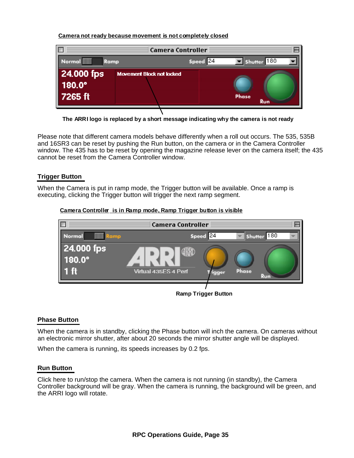### **Camera not ready because movement is not completely closed**



**The ARRI logo is replaced by a short message indicating why the camera is not ready**

Please note that different camera models behave differently when a roll out occurs. The 535, 535B and 16SR3 can be reset by pushing the Run button, on the camera or in the Camera Controller window. The 435 has to be reset by opening the magazine release lever on the camera itself; the 435 cannot be reset from the Camera Controller window.

# **Trigger Button**

When the Camera is put in ramp mode, the Trigger button will be available. Once a ramp is executing, clicking the Trigger button will trigger the next ramp segment.

### **Camera Controller is in Ramp mode, Ramp Trigger button is visible**



### **Phase Button**

When the camera is in standby, clicking the Phase button will inch the camera. On cameras without an electronic mirror shutter, after about 20 seconds the mirror shutter angle will be displayed.

When the camera is running, its speeds increases by 0.2 fps.

### **Run Button**

Click here to run/stop the camera. When the camera is not running (in standby), the Camera Controller background will be gray. When the camera is running, the background will be green, and the ARRI logo will rotate.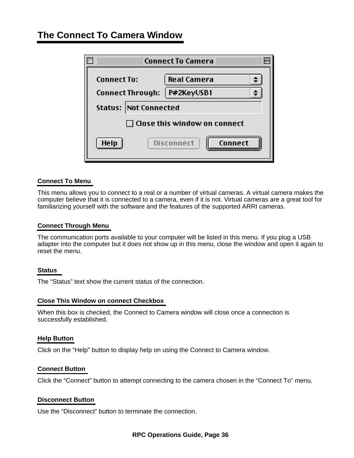# **The Connect To Camera Window**

|                          | Connect To Camera $\equiv$   |  |  |  |  |
|--------------------------|------------------------------|--|--|--|--|
| <b>Connect To:</b>       | <b>Real Camera</b>           |  |  |  |  |
| <b>Connect Through:</b>  | P#2KeyUSB1                   |  |  |  |  |
| Not Connected<br>Status: |                              |  |  |  |  |
|                          | Close this window on connect |  |  |  |  |
| Help                     | Disconnect<br>Connect        |  |  |  |  |

### **Connect To Menu**

This menu allows you to connect to a real or a number of virtual cameras. A virtual camera makes the computer believe that it is connected to a camera, even if it is not. Virtual cameras are a great tool for familiarizing yourself with the software and the features of the supported ARRI cameras.

### **Connect Through Menu**

The communication ports available to your computer will be listed in this menu. If you plug a USB adapter into the computer but it does not show up in this menu, close the window and open it again to reset the menu.

### **Status**

The "Status" text show the current status of the connection.

#### **Close This Window on connect Checkbox**

When this box is checked, the Connect to Camera window will close once a connection is successfully established.

#### **Help Button**

Click on the "Help" button to display help on using the Connect to Camera window.

### **Connect Button**

Click the "Connect" button to attempt connecting to the camera chosen in the "Connect To" menu.

#### **Disconnect Button**

Use the "Disconnect" button to terminate the connection.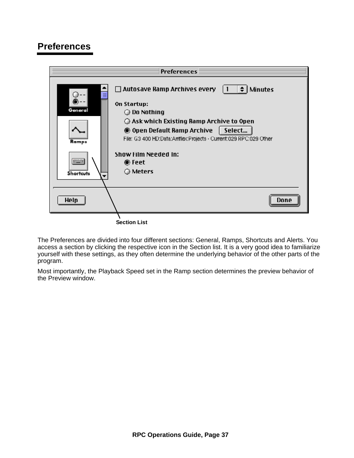# **Preferences**



The Preferences are divided into four different sections: General, Ramps, Shortcuts and Alerts. You access a section by clicking the respective icon in the Section list. It is a very good idea to familiarize yourself with these settings, as they often determine the underlying behavior of the other parts of the program.

Most importantly, the Playback Speed set in the Ramp section determines the preview behavior of the Preview window.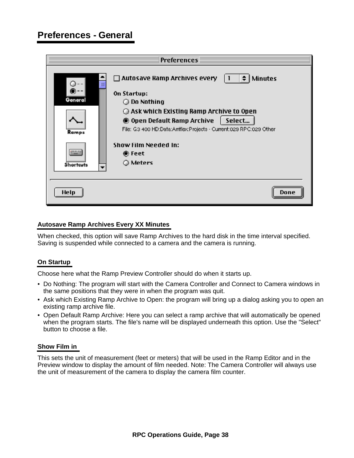|                           | <b>Preferences</b>                                                                                                                                                                                        |
|---------------------------|-----------------------------------------------------------------------------------------------------------------------------------------------------------------------------------------------------------|
| Ε<br><b>STATIONE</b>      | $ 1  \neq  $ Minutes<br>$\Box$ Autosave Ramp Archives every<br>On Startup:<br>$\bigcirc$ Do Nothing<br>$\bigcirc$ Ask which Existing Ramp Archive to Open<br>Select<br><b>O</b> Open Default Ramp Archive |
| Ramps<br><b>Shortcuts</b> | File: G3 400 HD:Data:Arriflex:Projects - Current:029 RPC:029 Other<br><b>Show Film Needed In:</b><br>● Feet<br>○ Meters                                                                                   |
| <b>Help</b>               | Done                                                                                                                                                                                                      |

### **Autosave Ramp Archives Every XX Minutes**

When checked, this option will save Ramp Archives to the hard disk in the time interval specified. Saving is suspended while connected to a camera and the camera is running.

# **On Startup**

Choose here what the Ramp Preview Controller should do when it starts up.

- Do Nothing: The program will start with the Camera Controller and Connect to Camera windows in the same positions that they were in when the program was quit.
- Ask which Existing Ramp Archive to Open: the program will bring up a dialog asking you to open an existing ramp archive file.
- Open Default Ramp Archive: Here you can select a ramp archive that will automatically be opened when the program starts. The file's name will be displayed underneath this option. Use the "Select" button to choose a file.

### **Show Film in**

This sets the unit of measurement (feet or meters) that will be used in the Ramp Editor and in the Preview window to display the amount of film needed. Note: The Camera Controller will always use the unit of measurement of the camera to display the camera film counter.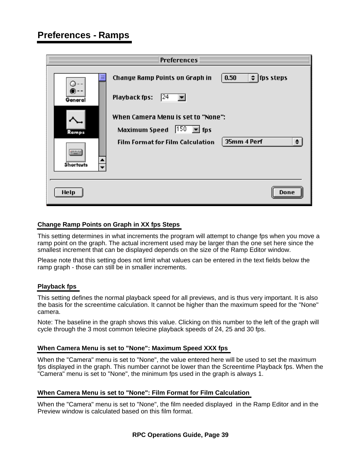# **Preferences - Ramps**

|                                                                      | <b>Preferences</b> $\equiv$                                                                                                                                                                     |                                                           |
|----------------------------------------------------------------------|-------------------------------------------------------------------------------------------------------------------------------------------------------------------------------------------------|-----------------------------------------------------------|
| Ξ<br>Genera<br>Ramps<br><b>Shortcuts</b><br>$\overline{\phantom{a}}$ | <b>Change Ramp Points on Graph in</b><br>Playback fps:<br> 24 <br>When Camera Menu is set to "None":<br>$ 150 \rangle$ = fps<br><b>Maximum Speed</b><br><b>Film Format for Film Calculation</b> | 0.50<br>$\div$   fps steps<br>$\triangleq$<br>35mm 4 Perf |
| <b>Help</b>                                                          |                                                                                                                                                                                                 | Done                                                      |

### **Change Ramp Points on Graph in XX fps Steps**

This setting determines in what increments the program will attempt to change fps when you move a ramp point on the graph. The actual increment used may be larger than the one set here since the smallest increment that can be displayed depends on the size of the Ramp Editor window.

Please note that this setting does not limit what values can be entered in the text fields below the ramp graph - those can still be in smaller increments.

### **Playback fps**

This setting defines the normal playback speed for all previews, and is thus very important. It is also the basis for the screentime calculation. It cannot be higher than the maximum speed for the "None" camera.

Note: The baseline in the graph shows this value. Clicking on this number to the left of the graph will cycle through the 3 most common telecine playback speeds of 24, 25 and 30 fps.

### **When Camera Menu is set to "None": Maximum Speed XXX fps**

When the "Camera" menu is set to "None", the value entered here will be used to set the maximum fps displayed in the graph. This number cannot be lower than the Screentime Playback fps. When the "Camera" menu is set to "None", the minimum fps used in the graph is always 1.

### **When Camera Menu is set to "None": Film Format for Film Calculation**

When the "Camera" menu is set to "None", the film needed displayed in the Ramp Editor and in the Preview window is calculated based on this film format.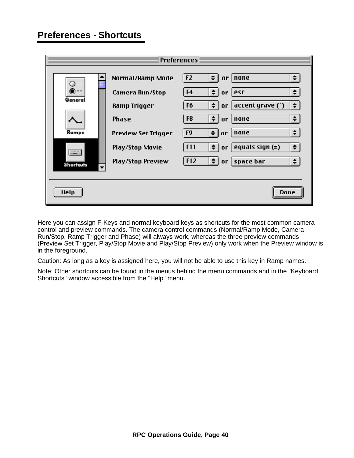# **Preferences - Shortcuts**

| <b>Preferences</b>                           |                            |                                                                                |  |  |
|----------------------------------------------|----------------------------|--------------------------------------------------------------------------------|--|--|
| ≣                                            | Normal/Ramp Mode           | $\div$<br>F <sub>2</sub><br>$\div$<br>none<br>0 <sup>r</sup>                   |  |  |
|                                              | <b>Camera Run/Stop</b>     | $\div$<br>F <sub>4</sub><br>$\triangleq$<br>esc<br>or                          |  |  |
| General                                      | <b>Ramp Trigger</b>        | $\div$<br>$accept$ grave $( )$<br>$\div$<br>F6<br>or                           |  |  |
| Ramps                                        | <b>Phase</b>               | $\div$  <br>$\Rightarrow$<br>F8<br>none<br>or                                  |  |  |
|                                              | <b>Preview Set Trigger</b> | $\triangleq$<br>F9<br>$\frac{1}{2}$<br>none<br>or                              |  |  |
|                                              | <b>Play/Stop Movie</b>     | $\Rightarrow$ $\mid$<br>F11<br>$\div$  <br>equals sign $($ = $)$<br>or $\vert$ |  |  |
| <b>Shortcuts</b><br>$\overline{\phantom{a}}$ | <b>Play/Stop Preview</b>   | $\div$  <br>F12<br>$\triangleq$<br>space bar<br>  or                           |  |  |
|                                              |                            |                                                                                |  |  |
| <b>Help</b>                                  |                            | Done                                                                           |  |  |

Here you can assign F-Keys and normal keyboard keys as shortcuts for the most common camera control and preview commands. The camera control commands (Normal/Ramp Mode, Camera Run/Stop, Ramp Trigger and Phase) will always work, whereas the three preview commands (Preview Set Trigger, Play/Stop Movie and Play/Stop Preview) only work when the Preview window is in the foreground.

Caution: As long as a key is assigned here, you will not be able to use this key in Ramp names.

Note: Other shortcuts can be found in the menus behind the menu commands and in the "Keyboard Shortcuts" window accessible from the "Help" menu.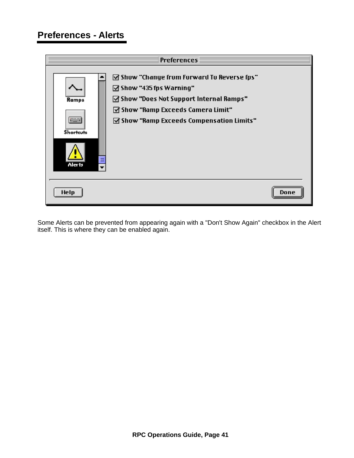# **Preferences - Alerts**

|                                                                             | <b>Preferences</b>                                                                                                                                                                                                                         |      |
|-----------------------------------------------------------------------------|--------------------------------------------------------------------------------------------------------------------------------------------------------------------------------------------------------------------------------------------|------|
| Ramps<br>t i se<br><b>Shortcuts</b><br>E<br><b>Alerts</b><br>$\blacksquare$ | $\boxtimes$ Show "Change from Forward To Reverse fps"<br>$\boxdot$ Show "435 fps Warning"<br>☑ Show "Does Not Support Internal Ramps"<br>$\boxdot$ Show "Ramp Exceeds Camera Limit"<br>$\boxtimes$ Show "Ramp Exceeds Compensation Limits" |      |
| <b>Help</b>                                                                 |                                                                                                                                                                                                                                            | Done |

Some Alerts can be prevented from appearing again with a "Don't Show Again" checkbox in the Alert itself. This is where they can be enabled again.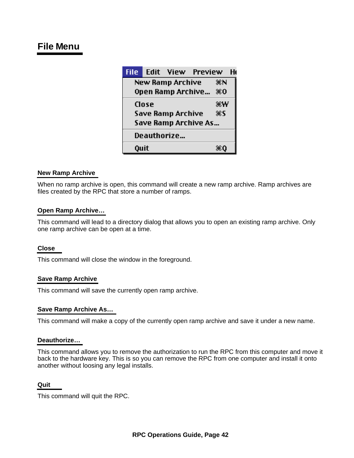# **File Menu**

| <b>File</b>          |                        | <b>Edit View Preview</b> |  | Hı |
|----------------------|------------------------|--------------------------|--|----|
|                      | New Ramp Archive<br>жN |                          |  |    |
|                      |                        | Open Ramp Archive        |  | 80 |
|                      | Close                  |                          |  | ₩₩ |
|                      |                        | Save Ramp Archive        |  | #S |
| Save Ramp Archive As |                        |                          |  |    |
| Deauthorize          |                        |                          |  |    |
| <b>Quit</b>          |                        |                          |  |    |

# **New Ramp Archive**

When no ramp archive is open, this command will create a new ramp archive. Ramp archives are files created by the RPC that store a number of ramps.

### **Open Ramp Archive…**

This command will lead to a directory dialog that allows you to open an existing ramp archive. Only one ramp archive can be open at a time.

### **Close**

This command will close the window in the foreground.

### **Save Ramp Archive**

This command will save the currently open ramp archive.

### **Save Ramp Archive As…**

This command will make a copy of the currently open ramp archive and save it under a new name.

### **Deauthorize…**

This command allows you to remove the authorization to run the RPC from this computer and move it back to the hardware key. This is so you can remove the RPC from one computer and install it onto another without loosing any legal installs.

#### **Quit**

This command will quit the RPC.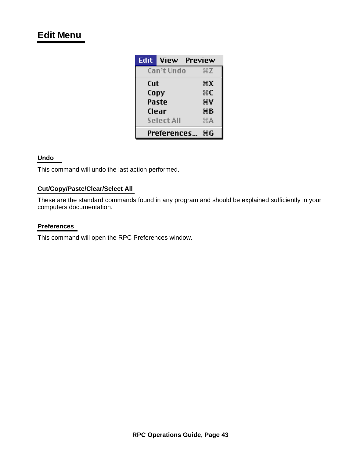# **Edit Menu**

| Edit  | View        | Preview |
|-------|-------------|---------|
|       | Can't Undo  | ЖZ      |
| Cut   |             | жx      |
| Copy  |             | ЖC      |
| Paste |             | æγ      |
| Clear |             | жB      |
|       | Select All  | ЖA      |
|       | Preferences | ЖG      |

# **Undo**

This command will undo the last action performed.

# **Cut/Copy/Paste/Clear/Select All**

These are the standard commands found in any program and should be explained sufficiently in your computers documentation.

### **Preferences**

This command will open the RPC Preferences window.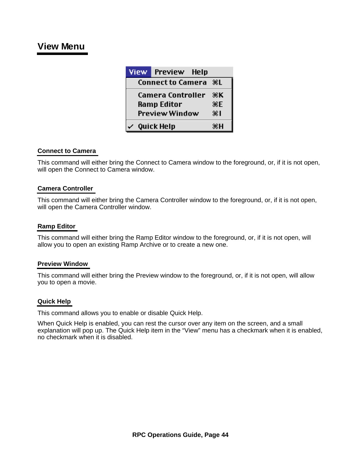# **View Menu**

| <b>View</b>           |                   | <b>Preview</b>           | Help       |    |
|-----------------------|-------------------|--------------------------|------------|----|
|                       |                   | <b>Connect to Camera</b> |            | ЖL |
|                       | Camera Controller |                          |            | ЖK |
| <b>Ramp Editor</b>    |                   |                          | ЖF         |    |
| <b>Preview Window</b> |                   |                          | $\ddot{x}$ |    |
|                       |                   | <b>Quick Help</b>        |            | жн |

### **Connect to Camera**

This command will either bring the Connect to Camera window to the foreground, or, if it is not open, will open the Connect to Camera window.

### **Camera Controller**

This command will either bring the Camera Controller window to the foreground, or, if it is not open, will open the Camera Controller window.

### **Ramp Editor**

This command will either bring the Ramp Editor window to the foreground, or, if it is not open, will allow you to open an existing Ramp Archive or to create a new one.

### **Preview Window**

This command will either bring the Preview window to the foreground, or, if it is not open, will allow you to open a movie.

### **Quick Help**

This command allows you to enable or disable Quick Help.

When Quick Help is enabled, you can rest the cursor over any item on the screen, and a small explanation will pop up. The Quick Help item in the "View" menu has a checkmark when it is enabled, no checkmark when it is disabled.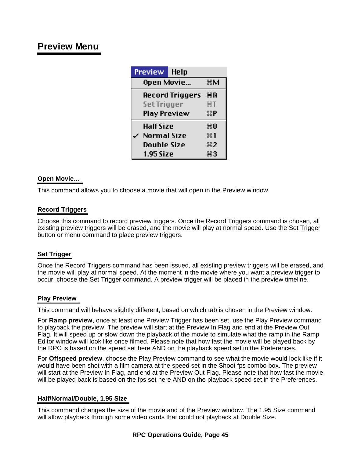# **Preview Menu**

| <b>Preview</b>         | Help           |                    |
|------------------------|----------------|--------------------|
| Open Movie             |                |                    |
| <b>Record Triggers</b> | ЖR             |                    |
| <b>Set Trigger</b>     |                | $*I$               |
| <b>Play Preview</b>    | $\mathbf{H}$ P |                    |
| Half Size              |                | Ж0                 |
| Normal Size            |                | 8€ 1               |
| Double Size            |                | $\divideontimes 2$ |
| 1.95 Size              |                | #3                 |

# **Open Movie…**

This command allows you to choose a movie that will open in the Preview window.

# **Record Triggers**

Choose this command to record preview triggers. Once the Record Triggers command is chosen, all existing preview triggers will be erased, and the movie will play at normal speed. Use the Set Trigger button or menu command to place preview triggers.

# **Set Trigger**

Once the Record Triggers command has been issued, all existing preview triggers will be erased, and the movie will play at normal speed. At the moment in the movie where you want a preview trigger to occur, choose the Set Trigger command. A preview trigger will be placed in the preview timeline.

# **Play Preview**

This command will behave slightly different, based on which tab is chosen in the Preview window.

For **Ramp preview**, once at least one Preview Trigger has been set, use the Play Preview command to playback the preview. The preview will start at the Preview In Flag and end at the Preview Out Flag. It will speed up or slow down the playback of the movie to simulate what the ramp in the Ramp Editor window will look like once filmed. Please note that how fast the movie will be played back by the RPC is based on the speed set here AND on the playback speed set in the Preferences.

For **Offspeed preview**, choose the Play Preview command to see what the movie would look like if it would have been shot with a film camera at the speed set in the Shoot fps combo box. The preview will start at the Preview In Flag, and end at the Preview Out Flag. Please note that how fast the movie will be played back is based on the fps set here AND on the playback speed set in the Preferences.

# **Half/Normal/Double, 1.95 Size**

This command changes the size of the movie and of the Preview window. The 1.95 Size command will allow playback through some video cards that could not playback at Double Size.

### **RPC Operations Guide, Page 45**